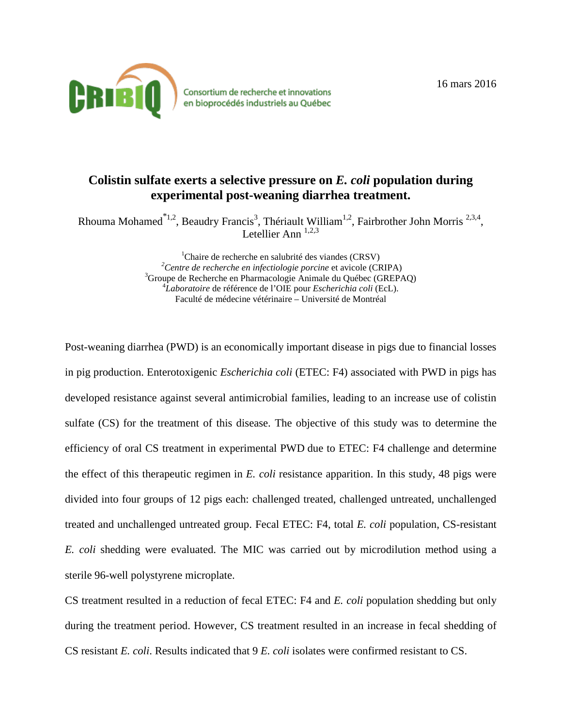

Consortium de recherche et innovations en bioprocédés industriels au Québec

## **Colistin sulfate exerts a selective pressure on** *E. coli* **population during experimental post-weaning diarrhea treatment.**

Rhouma Mohamed<sup>\*1,2</sup>, Beaudry Francis<sup>3</sup>, Thériault William<sup>1,2</sup>, Fairbrother John Morris<sup>2,3,4</sup>, Letellier Ann  $^{1,2,3}$ 

> <sup>1</sup>Chaire de recherche en salubrité des viandes (CRSV)<sup>2</sup>Centre de recherche en infectiologie porcine et evisels (Cl <sup>2</sup> Centre de recherche en infectiologie porcine et avicole (CRIPA) <sup>3</sup> Groupe de Recherche en Pharmacologie Animale du Québec (GREPAQ) *Laboratoire* de référence de l'OIE pour *Escherichia coli* (EcL). Faculté de médecine vétérinaire – Université de Montréal

Post-weaning diarrhea (PWD) is an economically important disease in pigs due to financial losses in pig production. Enterotoxigenic *Escherichia coli* (ETEC: F4) associated with PWD in pigs has developed resistance against several antimicrobial families, leading to an increase use of colistin sulfate (CS) for the treatment of this disease. The objective of this study was to determine the efficiency of oral CS treatment in experimental PWD due to ETEC: F4 challenge and determine the effect of this therapeutic regimen in *E. coli* resistance apparition. In this study, 48 pigs were divided into four groups of 12 pigs each: challenged treated, challenged untreated, unchallenged treated and unchallenged untreated group. Fecal ETEC: F4, total *E. coli* population, CS-resistant *E. coli* shedding were evaluated. The MIC was carried out by microdilution method using a sterile 96-well polystyrene microplate.

CS treatment resulted in a reduction of fecal ETEC: F4 and *E. coli* population shedding but only during the treatment period. However, CS treatment resulted in an increase in fecal shedding of CS resistant *E. coli*. Results indicated that 9 *E. coli* isolates were confirmed resistant to CS.

16 mars 2016